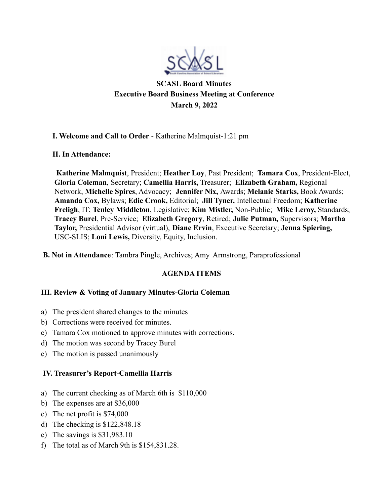

**SCASL Board Minutes Executive Board Business Meeting at Conference March 9, 2022**

### **I. Welcome and Call to Order** - Katherine Malmquist-1:21 pm

#### **II. In Attendance:**

**Katherine Malmquist**, President; **Heather Loy**, Past President; **Tamara Cox**, President-Elect, **Gloria Coleman**, Secretary; **Camellia Harris,** Treasurer; **Elizabeth Graham,** Regional Network, **Michelle Spires**, Advocacy; **Jennifer Nix,** Awards; **Melanie Starks,** Book Awards; **Amanda Cox,** Bylaws; **Edie Crook,** Editorial; **Jill Tyner,** Intellectual Freedom; **Katherine Freligh**, IT; **Tenley Middleton**, Legislative; **Kim Mistler,** Non-Public; **Mike Leroy,** Standards; **Tracey Burel**, Pre-Service; **Elizabeth Gregory**, Retired; **Julie Putman,** Supervisors; **Martha Taylor,** Presidential Advisor (virtual), **Diane Ervin**, Executive Secretary; **Jenna Spiering,** USC-SLIS; **Loni Lewis,** Diversity, Equity, Inclusion.

**B. Not in Attendance**: Tambra Pingle, Archives; Amy Armstrong, Paraprofessional

# **AGENDA ITEMS**

# **III. Review & Voting of January Minutes-Gloria Coleman**

- a) The president shared changes to the minutes
- b) Corrections were received for minutes.
- c) Tamara Cox motioned to approve minutes with corrections.
- d) The motion was second by Tracey Burel
- e) The motion is passed unanimously

# **IV. Treasurer's Report-Camellia Harris**

- a) The current checking as of March 6th is \$110,000
- b) The expenses are at \$36,000
- c) The net profit is \$74,000
- d) The checking is \$122,848.18
- e) The savings is \$31,983.10
- f) The total as of March 9th is \$154,831.28.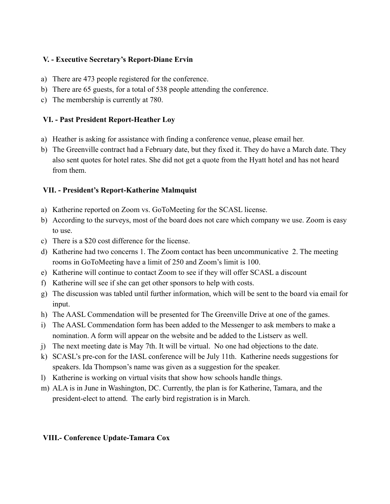#### **V. - Executive Secretary's Report-Diane Ervin**

- a) There are 473 people registered for the conference.
- b) There are 65 guests, for a total of 538 people attending the conference.
- c) The membership is currently at 780.

### **VI. - Past President Report-Heather Loy**

- a) Heather is asking for assistance with finding a conference venue, please email her.
- b) The Greenville contract had a February date, but they fixed it. They do have a March date. They also sent quotes for hotel rates. She did not get a quote from the Hyatt hotel and has not heard from them.

### **VII. - President's Report-Katherine Malmquist**

- a) Katherine reported on Zoom vs. GoToMeeting for the SCASL license.
- b) According to the surveys, most of the board does not care which company we use. Zoom is easy to use.
- c) There is a \$20 cost difference for the license.
- d) Katherine had two concerns 1. The Zoom contact has been uncommunicative 2. The meeting rooms in GoToMeeting have a limit of 250 and Zoom's limit is 100.
- e) Katherine will continue to contact Zoom to see if they will offer SCASL a discount
- f) Katherine will see if she can get other sponsors to help with costs.
- g) The discussion was tabled until further information, which will be sent to the board via email for input.
- h) The AASL Commendation will be presented for The Greenville Drive at one of the games.
- i) The AASL Commendation form has been added to the Messenger to ask members to make a nomination. A form will appear on the website and be added to the Listserv as well.
- j) The next meeting date is May 7th. It will be virtual. No one had objections to the date.
- k) SCASL's pre-con for the IASL conference will be July 11th. Katherine needs suggestions for speakers. Ida Thompson's name was given as a suggestion for the speaker.
- l) Katherine is working on virtual visits that show how schools handle things.
- m) ALA is in June in Washington, DC. Currently, the plan is for Katherine, Tamara, and the president-elect to attend. The early bird registration is in March.

# **VIII.- Conference Update-Tamara Cox**